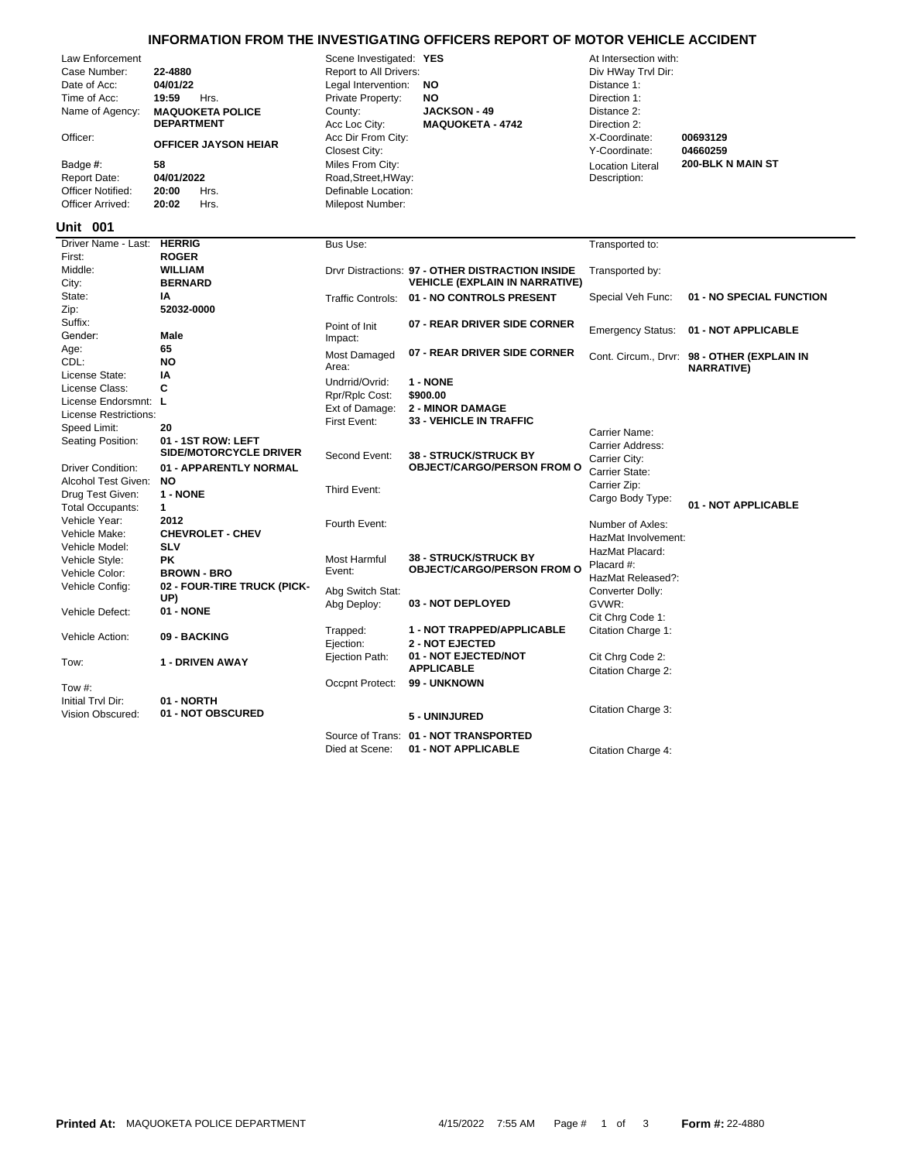## **INFORMATION FROM THE INVESTIGATING OFFICERS REPORT OF MOTOR VEHICLE ACCIDENT**

|                                                                                                                                                                                               |                                                                                                                                                                    |                                                                                                                                                                                                                                                               | INFORMATION FROM THE INVESTIGATING OFFICERS REPORT OF MOTOR VEHICLE ACCIDENT              |                                                                                                                                                                                        |                                                                  |
|-----------------------------------------------------------------------------------------------------------------------------------------------------------------------------------------------|--------------------------------------------------------------------------------------------------------------------------------------------------------------------|---------------------------------------------------------------------------------------------------------------------------------------------------------------------------------------------------------------------------------------------------------------|-------------------------------------------------------------------------------------------|----------------------------------------------------------------------------------------------------------------------------------------------------------------------------------------|------------------------------------------------------------------|
| Law Enforcement<br>Case Number:<br>Date of Acc:<br>Time of Acc:<br>Name of Agency:<br>Officer:<br>Badge #:<br><b>Report Date:</b><br><b>Officer Notified:</b><br>Officer Arrived:<br>Unit 001 | 22-4880<br>04/01/22<br>19:59<br>Hrs.<br><b>MAQUOKETA POLICE</b><br><b>DEPARTMENT</b><br>OFFICER JAYSON HEIAR<br>58<br>04/01/2022<br>20:00<br>Hrs.<br>20:02<br>Hrs. | Scene Investigated: YES<br>Report to All Drivers:<br>Legal Intervention:<br>Private Property:<br>County:<br>Acc Loc City:<br>Acc Dir From City:<br><b>Closest City:</b><br>Miles From City:<br>Road, Street, HWay:<br>Definable Location:<br>Milepost Number: | <b>NO</b><br><b>NO</b><br><b>JACKSON - 49</b><br><b>MAQUOKETA - 4742</b>                  | At Intersection with:<br>Div HWay Trvl Dir:<br>Distance 1:<br>Direction 1:<br>Distance 2:<br>Direction 2:<br>X-Coordinate:<br>Y-Coordinate:<br><b>Location Literal</b><br>Description: | 00693129<br>04660259<br>200-BLK N MAIN ST                        |
| Driver Name - Last:                                                                                                                                                                           | <b>HERRIG</b>                                                                                                                                                      | Bus Use:                                                                                                                                                                                                                                                      |                                                                                           | Transported to:                                                                                                                                                                        |                                                                  |
| First:                                                                                                                                                                                        | <b>ROGER</b>                                                                                                                                                       |                                                                                                                                                                                                                                                               |                                                                                           |                                                                                                                                                                                        |                                                                  |
| Middle:<br>City:                                                                                                                                                                              | WILLIAM<br><b>BERNARD</b>                                                                                                                                          |                                                                                                                                                                                                                                                               | Drvr Distractions: 97 - OTHER DISTRACTION INSIDE<br><b>VEHICLE (EXPLAIN IN NARRATIVE)</b> | Transported by:                                                                                                                                                                        |                                                                  |
| State:                                                                                                                                                                                        | ΙA                                                                                                                                                                 | <b>Traffic Controls:</b>                                                                                                                                                                                                                                      | 01 - NO CONTROLS PRESENT                                                                  | Special Veh Func:                                                                                                                                                                      | 01 - NO SPECIAL FUNCTION                                         |
| Zip:                                                                                                                                                                                          | 52032-0000                                                                                                                                                         |                                                                                                                                                                                                                                                               |                                                                                           |                                                                                                                                                                                        |                                                                  |
| Suffix:                                                                                                                                                                                       |                                                                                                                                                                    | Point of Init                                                                                                                                                                                                                                                 | 07 - REAR DRIVER SIDE CORNER                                                              | <b>Emergency Status:</b>                                                                                                                                                               | 01 - NOT APPLICABLE                                              |
| Gender:<br>Age:                                                                                                                                                                               | Male<br>65                                                                                                                                                         | Impact:                                                                                                                                                                                                                                                       |                                                                                           |                                                                                                                                                                                        |                                                                  |
| CDL:                                                                                                                                                                                          | <b>NO</b>                                                                                                                                                          | Most Damaged<br>Area:                                                                                                                                                                                                                                         | 07 - REAR DRIVER SIDE CORNER                                                              |                                                                                                                                                                                        | Cont. Circum., Drvr: 98 - OTHER (EXPLAIN IN<br><b>NARRATIVE)</b> |
| License State:                                                                                                                                                                                | IA                                                                                                                                                                 | Undrrid/Ovrid:                                                                                                                                                                                                                                                | 1 - NONE                                                                                  |                                                                                                                                                                                        |                                                                  |
| License Class:                                                                                                                                                                                | C                                                                                                                                                                  | Rpr/Rplc Cost:                                                                                                                                                                                                                                                | \$900.00                                                                                  |                                                                                                                                                                                        |                                                                  |
| License Endorsmnt: L                                                                                                                                                                          |                                                                                                                                                                    | Ext of Damage:                                                                                                                                                                                                                                                | <b>2 - MINOR DAMAGE</b>                                                                   |                                                                                                                                                                                        |                                                                  |
| License Restrictions:                                                                                                                                                                         |                                                                                                                                                                    | First Event:                                                                                                                                                                                                                                                  | 33 - VEHICLE IN TRAFFIC                                                                   |                                                                                                                                                                                        |                                                                  |
| Speed Limit:                                                                                                                                                                                  | 20                                                                                                                                                                 |                                                                                                                                                                                                                                                               |                                                                                           | Carrier Name:                                                                                                                                                                          |                                                                  |
| Seating Position:                                                                                                                                                                             | 01 - 1ST ROW: LEFT<br><b>SIDE/MOTORCYCLE DRIVER</b>                                                                                                                |                                                                                                                                                                                                                                                               |                                                                                           | Carrier Address:                                                                                                                                                                       |                                                                  |
| <b>Driver Condition:</b>                                                                                                                                                                      | 01 - APPARENTLY NORMAL                                                                                                                                             | Second Event:                                                                                                                                                                                                                                                 | <b>38 - STRUCK/STRUCK BY</b><br><b>OBJECT/CARGO/PERSON FROM O</b>                         | Carrier City:                                                                                                                                                                          |                                                                  |
| Alcohol Test Given:                                                                                                                                                                           | <b>NO</b>                                                                                                                                                          |                                                                                                                                                                                                                                                               |                                                                                           | Carrier State:                                                                                                                                                                         |                                                                  |
| Drug Test Given:                                                                                                                                                                              | 1 - NONE                                                                                                                                                           | Third Event:                                                                                                                                                                                                                                                  |                                                                                           | Carrier Zip:                                                                                                                                                                           |                                                                  |
| <b>Total Occupants:</b>                                                                                                                                                                       | $\mathbf{1}$                                                                                                                                                       |                                                                                                                                                                                                                                                               |                                                                                           | Cargo Body Type:                                                                                                                                                                       | 01 - NOT APPLICABLE                                              |
| Vehicle Year:                                                                                                                                                                                 | 2012                                                                                                                                                               | Fourth Event:                                                                                                                                                                                                                                                 |                                                                                           | Number of Axles:                                                                                                                                                                       |                                                                  |
| Vehicle Make:                                                                                                                                                                                 | <b>CHEVROLET - CHEV</b>                                                                                                                                            |                                                                                                                                                                                                                                                               |                                                                                           | HazMat Involvement:                                                                                                                                                                    |                                                                  |
| Vehicle Model:                                                                                                                                                                                | <b>SLV</b>                                                                                                                                                         |                                                                                                                                                                                                                                                               |                                                                                           | HazMat Placard:                                                                                                                                                                        |                                                                  |
| Vehicle Style:                                                                                                                                                                                | <b>PK</b>                                                                                                                                                          | Most Harmful                                                                                                                                                                                                                                                  | <b>38 - STRUCK/STRUCK BY</b><br><b>OBJECT/CARGO/PERSON FROM O</b>                         | Placard #:                                                                                                                                                                             |                                                                  |
| Vehicle Color:                                                                                                                                                                                | <b>BROWN - BRO</b>                                                                                                                                                 | Event:                                                                                                                                                                                                                                                        |                                                                                           | HazMat Released?:                                                                                                                                                                      |                                                                  |
| Vehicle Config:                                                                                                                                                                               | 02 - FOUR-TIRE TRUCK (PICK-<br>UP)                                                                                                                                 | Abg Switch Stat:                                                                                                                                                                                                                                              |                                                                                           | Converter Dolly:                                                                                                                                                                       |                                                                  |
| Vehicle Defect:                                                                                                                                                                               | 01 - NONE                                                                                                                                                          | Abg Deploy:                                                                                                                                                                                                                                                   | 03 - NOT DEPLOYED                                                                         | GVWR:                                                                                                                                                                                  |                                                                  |
|                                                                                                                                                                                               |                                                                                                                                                                    |                                                                                                                                                                                                                                                               |                                                                                           | Cit Chrq Code 1:                                                                                                                                                                       |                                                                  |
| Vehicle Action:                                                                                                                                                                               | 09 - BACKING                                                                                                                                                       | Trapped:<br>Ejection:                                                                                                                                                                                                                                         | 1 - NOT TRAPPED/APPLICABLE<br><b>2 - NOT EJECTED</b>                                      | Citation Charge 1:                                                                                                                                                                     |                                                                  |
| Tow:                                                                                                                                                                                          | <b>1 - DRIVEN AWAY</b>                                                                                                                                             | Ejection Path:                                                                                                                                                                                                                                                | 01 - NOT EJECTED/NOT<br><b>APPLICABLE</b>                                                 | Cit Chrg Code 2:                                                                                                                                                                       |                                                                  |
|                                                                                                                                                                                               |                                                                                                                                                                    |                                                                                                                                                                                                                                                               | 99 - UNKNOWN                                                                              | Citation Charge 2:                                                                                                                                                                     |                                                                  |
| Tow #:                                                                                                                                                                                        |                                                                                                                                                                    | Occpnt Protect:                                                                                                                                                                                                                                               |                                                                                           |                                                                                                                                                                                        |                                                                  |
| Initial Tryl Dir:                                                                                                                                                                             | 01 - NORTH<br>01 - NOT OBSCURED                                                                                                                                    |                                                                                                                                                                                                                                                               |                                                                                           | Citation Charge 3:                                                                                                                                                                     |                                                                  |
| Vision Obscured:                                                                                                                                                                              |                                                                                                                                                                    |                                                                                                                                                                                                                                                               | 5 - UNINJURED                                                                             |                                                                                                                                                                                        |                                                                  |

Source of Trans: **01 - NOT TRANSPORTED**

Died at Scene: **01 - NOT APPLICABLE** Citation Charge 4: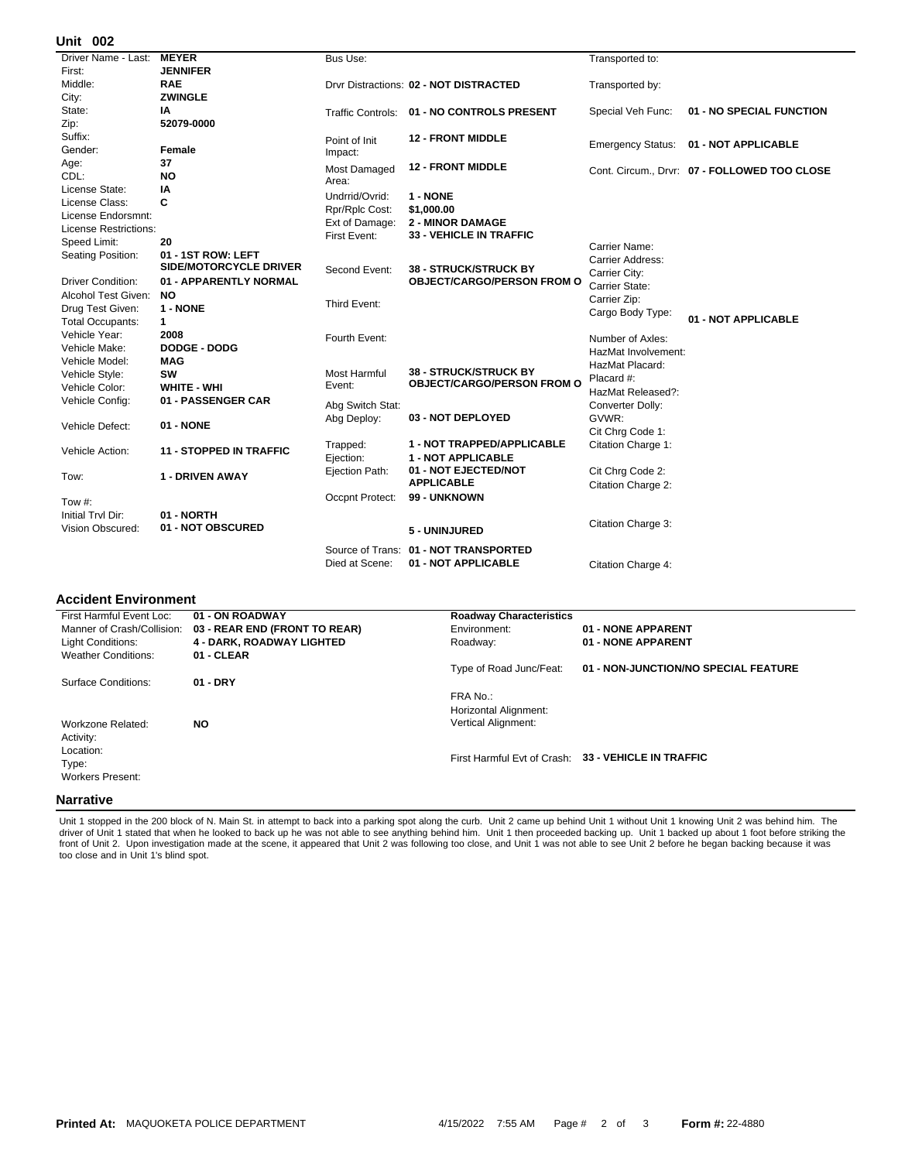## **002 Unit**

| UIIIL UUZ                    |                                |                  |                                                    |                          |                                              |
|------------------------------|--------------------------------|------------------|----------------------------------------------------|--------------------------|----------------------------------------------|
| Driver Name - Last:          | <b>MEYER</b>                   | Bus Use:         |                                                    | Transported to:          |                                              |
| First:                       | <b>JENNIFER</b>                |                  |                                                    |                          |                                              |
| Middle:                      | <b>RAE</b>                     |                  | Drvr Distractions: 02 - NOT DISTRACTED             | Transported by:          |                                              |
| City:                        | <b>ZWINGLE</b>                 |                  |                                                    |                          |                                              |
| State:                       | IA                             |                  | Traffic Controls: 01 - NO CONTROLS PRESENT         | Special Veh Func:        | 01 - NO SPECIAL FUNCTION                     |
| Zip:                         | 52079-0000                     |                  |                                                    |                          |                                              |
| Suffix:                      |                                | Point of Init    | <b>12 - FRONT MIDDLE</b>                           |                          |                                              |
| Gender:                      | Female                         | Impact:          |                                                    | <b>Emergency Status:</b> | 01 - NOT APPLICABLE                          |
| Age:                         | 37                             | Most Damaged     | <b>12 - FRONT MIDDLE</b>                           |                          |                                              |
| CDL:                         | <b>NO</b>                      | Area:            |                                                    |                          | Cont. Circum., Drvr: 07 - FOLLOWED TOO CLOSE |
| License State:               | ΙA                             | Undrrid/Ovrid:   | 1 - NONE                                           |                          |                                              |
| License Class:               | C                              |                  |                                                    |                          |                                              |
| License Endorsmnt:           |                                | Rpr/Rplc Cost:   | \$1,000.00                                         |                          |                                              |
| <b>License Restrictions:</b> |                                | Ext of Damage:   | <b>2 - MINOR DAMAGE</b><br>33 - VEHICLE IN TRAFFIC |                          |                                              |
| Speed Limit:                 | 20                             | First Event:     |                                                    | Carrier Name:            |                                              |
| Seating Position:            | 01 - 1ST ROW: LEFT             |                  |                                                    | Carrier Address:         |                                              |
|                              | <b>SIDE/MOTORCYCLE DRIVER</b>  | Second Event:    | <b>38 - STRUCK/STRUCK BY</b>                       | Carrier City:            |                                              |
| <b>Driver Condition:</b>     | 01 - APPARENTLY NORMAL         |                  | <b>OBJECT/CARGO/PERSON FROM O</b>                  | Carrier State:           |                                              |
| Alcohol Test Given:          | NO.                            |                  |                                                    | Carrier Zip:             |                                              |
| Drug Test Given:             | 1 - NONE                       | Third Event:     |                                                    | Cargo Body Type:         |                                              |
| <b>Total Occupants:</b>      | $\mathbf{1}$                   |                  |                                                    |                          | 01 - NOT APPLICABLE                          |
| Vehicle Year:                | 2008                           | Fourth Event:    |                                                    | Number of Axles:         |                                              |
| Vehicle Make:                | <b>DODGE - DODG</b>            |                  |                                                    | HazMat Involvement:      |                                              |
| Vehicle Model:               | <b>MAG</b>                     |                  |                                                    | HazMat Placard:          |                                              |
| Vehicle Style:               | <b>SW</b>                      | Most Harmful     | <b>38 - STRUCK/STRUCK BY</b>                       | Placard #:               |                                              |
| Vehicle Color:               | <b>WHITE - WHI</b>             | Event:           | <b>OBJECT/CARGO/PERSON FROM O</b>                  | HazMat Released?:        |                                              |
| Vehicle Config:              | 01 - PASSENGER CAR             | Abg Switch Stat: |                                                    | Converter Dolly:         |                                              |
|                              |                                | Abg Deploy:      | 03 - NOT DEPLOYED                                  | GVWR:                    |                                              |
| Vehicle Defect:              | 01 - NONE                      |                  |                                                    | Cit Chrg Code 1:         |                                              |
|                              |                                | Trapped:         | <b>1 - NOT TRAPPED/APPLICABLE</b>                  | Citation Charge 1:       |                                              |
| Vehicle Action:              | <b>11 - STOPPED IN TRAFFIC</b> | Ejection:        | <b>1 - NOT APPLICABLE</b>                          |                          |                                              |
|                              |                                | Ejection Path:   | 01 - NOT EJECTED/NOT                               | Cit Chrg Code 2:         |                                              |
| Tow:                         | 1 - DRIVEN AWAY                |                  | <b>APPLICABLE</b>                                  | Citation Charge 2:       |                                              |
|                              |                                | Occpnt Protect:  | 99 - UNKNOWN                                       |                          |                                              |
| Tow #:                       |                                |                  |                                                    |                          |                                              |
| Initial Trvl Dir:            | 01 - NORTH                     |                  |                                                    | Citation Charge 3:       |                                              |
| Vision Obscured:             | 01 - NOT OBSCURED              |                  | 5 - UNINJURED                                      |                          |                                              |
|                              |                                |                  | Source of Trans: 01 - NOT TRANSPORTED              |                          |                                              |
|                              |                                | Died at Scene:   | 01 - NOT APPLICABLE                                | Citation Charge 4:       |                                              |
|                              |                                |                  |                                                    |                          |                                              |

## **Accident Environment**

| First Harmful Event Loc:   | 01 - ON ROADWAY                  | <b>Roadway Characteristics</b> |                                                     |
|----------------------------|----------------------------------|--------------------------------|-----------------------------------------------------|
| Manner of Crash/Collision: | 03 - REAR END (FRONT TO REAR)    | Environment:                   | 01 - NONE APPARENT                                  |
| Light Conditions:          | <b>4 - DARK, ROADWAY LIGHTED</b> | Roadway:                       | 01 - NONE APPARENT                                  |
| <b>Weather Conditions:</b> | 01 - CLEAR                       |                                |                                                     |
|                            |                                  | Type of Road Junc/Feat:        | 01 - NON-JUNCTION/NO SPECIAL FEATURE                |
| Surface Conditions:        | $01 - DRY$                       |                                |                                                     |
|                            |                                  | FRA No.:                       |                                                     |
|                            |                                  | Horizontal Alignment:          |                                                     |
| Workzone Related:          | <b>NO</b>                        | <b>Vertical Alignment:</b>     |                                                     |
| Activity:                  |                                  |                                |                                                     |
| Location:                  |                                  |                                |                                                     |
| Type:                      |                                  |                                | First Harmful Evt of Crash: 33 - VEHICLE IN TRAFFIC |
| Workers Present:           |                                  |                                |                                                     |
|                            |                                  |                                |                                                     |
| <b>Narrative</b>           |                                  |                                |                                                     |

Unit 1 stopped in the 200 block of N. Main St. in attempt to back into a parking spot along the curb. Unit 2 came up behind Unit 1 without Unit 1 knowing Unit 2 was behind him. The<br>driver of Unit 1 stated that when he look front of Unit 2. Upon investigation made at the scene, it appeared that Unit 2 was following too close, and Unit 1 was not able to see Unit 2 before he began backing because it was too close and in Unit 1's blind spot.